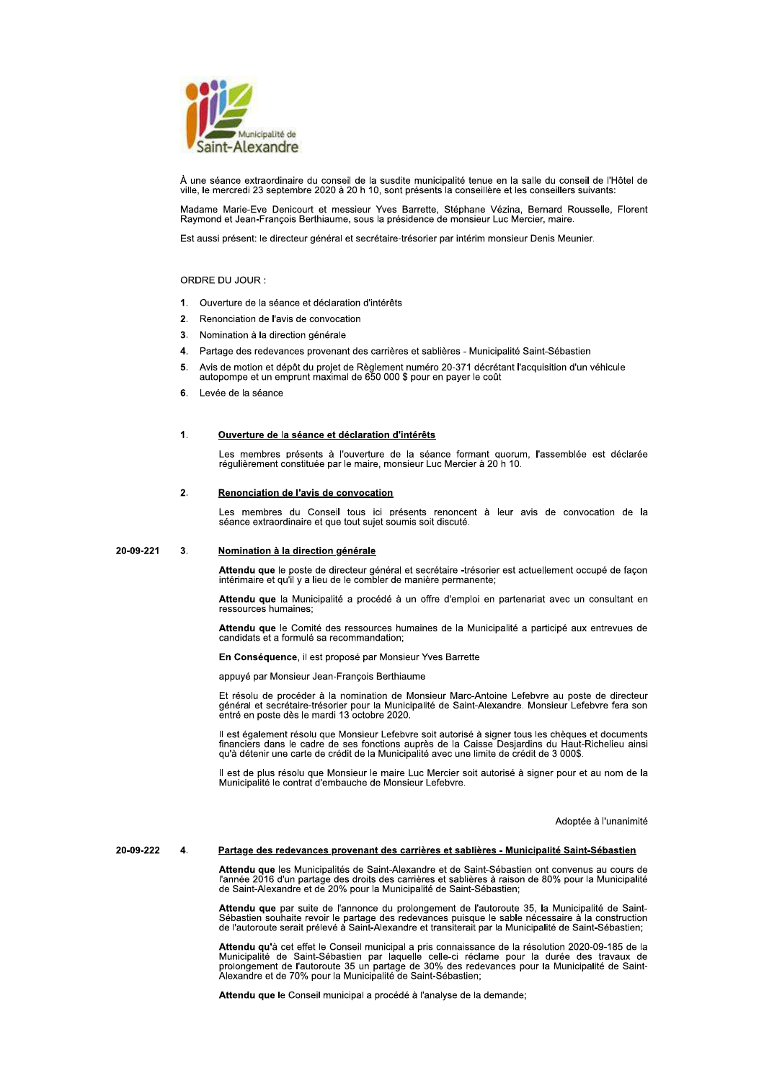

À une séance extraordinaire du conseil de la susdite municipalité tenue en la salle du conseil de l'Hôtel de ville, le mercredi 23 septembre 2020 à 20 h 10, sont présents la conseillère et les conseillers suivants:

Madame Marie-Eve Denicourt et messieur Yves Barrette, Stéphane Vézina, Bernard Rousselle, Florent<br>Raymond et Jean-François Berthiaume, sous la présidence de monsieur Luc Mercier, maire.

Est aussi présent: le directeur général et secrétaire-trésorier par intérim monsieur Denis Meunier.

# ORDRE DU JOUR :

- $1<sup>1</sup>$ Ouverture de la séance et déclaration d'intérêts
- 2. Renonciation de l'avis de convocation
- $3<sup>1</sup>$ Nomination à la direction générale
- 4. Partage des redevances provenant des carrières et sablières Municipalité Saint-Sébastien
- Avis de motion et dépôt du projet de Règlement numéro 20-371 décrétant l'acquisition d'un véhicule autopompe et un emprunt maximal de 650 000 \$ pour en payer le coût 5.
- 6. Levée de la séance

### $\blacktriangleleft$ Ouverture de la séance et déclaration d'intérêts

Les membres présents à l'ouverture de la séance formant quorum, l'assemblée est déclarée régulièrement constituée par le maire, monsieur Luc Mercier à 20 h 10.

### $\overline{2}$ Renonciation de l'avis de convocation

Les membres du Conseil tous ici présents renoncent à leur avis de convocation de la séance extraordinaire et que tout sujet soumis soit discuté.

#### 20-09-221 3. Nomination à la direction générale

Attendu que le poste de directeur général et secrétaire -trésorier est actuellement occupé de façon<br>intérimaire et qu'il y a lieu de le combler de manière permanente;

Attendu que la Municipalité a procédé à un offre d'emploi en partenariat avec un consultant en ressources humaines;

Attendu que le Comité des ressources humaines de la Municipalité a participé aux entrevues de candidats et a formulé sa recommandation;

En Conséquence, il est proposé par Monsieur Yves Barrette

appuyé par Monsieur Jean-François Berthiaume

Et résolu de procéder à la nomination de Monsieur Marc-Antoine Lefebvre au poste de directeur général et secrétaire-trésorier pour la Municipalité de Saint-Alexandre. Monsieur Lefebvre fera son entré en poste dès le mardi 13 octobre 2020.

Il est également résolu que Monsieur Lefebvre soit autorisé à signer tous les chèques et documents financiers dans le cadre de ses fonctions auprès de la Caisse Desjardins du Haut-Richelieu ainsi<br>qu'à détenir une carte de crédit de la Municipalité avec une limite de crédit de 3 000\$.

Il est de plus résolu que Monsieur le maire Luc Mercier soit autorisé à signer pour et au nom de la<br>Municipalité le contrat d'embauche de Monsieur Lefebvre.

Adoptée à l'unanimité

#### 20-09-222  $\overline{4}$ Partage des redevances provenant des carrières et sablières - Municipalité Saint-Sébastien

Attendu que les Municipalités de Saint-Alexandre et de Saint-Sébastien ont convenus au cours de Aueniu que les municipalities de Saint-Alexandre et de January exposition de 80% pour la Municipalité<br>de Saint-Alexandre et de 20% pour la Municipalité de Saint-Sébastien;

Attendu que par suite de l'annonce du prolongement de l'autoroute 35, la Municipalité de Saint-According to the part of the partage des redevances puisque le sable nécessaire à la construction<br>de l'autoroute serait prélevé à Saint-Alexandre et transiterait par la Municipalité de Saint-Sébastien;

Attendu qu'à cet effet le Conseil municipal a pris connaissance de la résolution 2020-09-185 de la Municipalité de Saint-Sébastien par laquelle celle-ci réclame pour la durée des travaux de prolongement de l'autoroute 35 un partage de 30% des redevances pour la Municipalité de Saint-Alexandre et de 70% pour la Municipalité de Saint-Sébastien;

Attendu que le Conseil municipal a procédé à l'analyse de la demande;